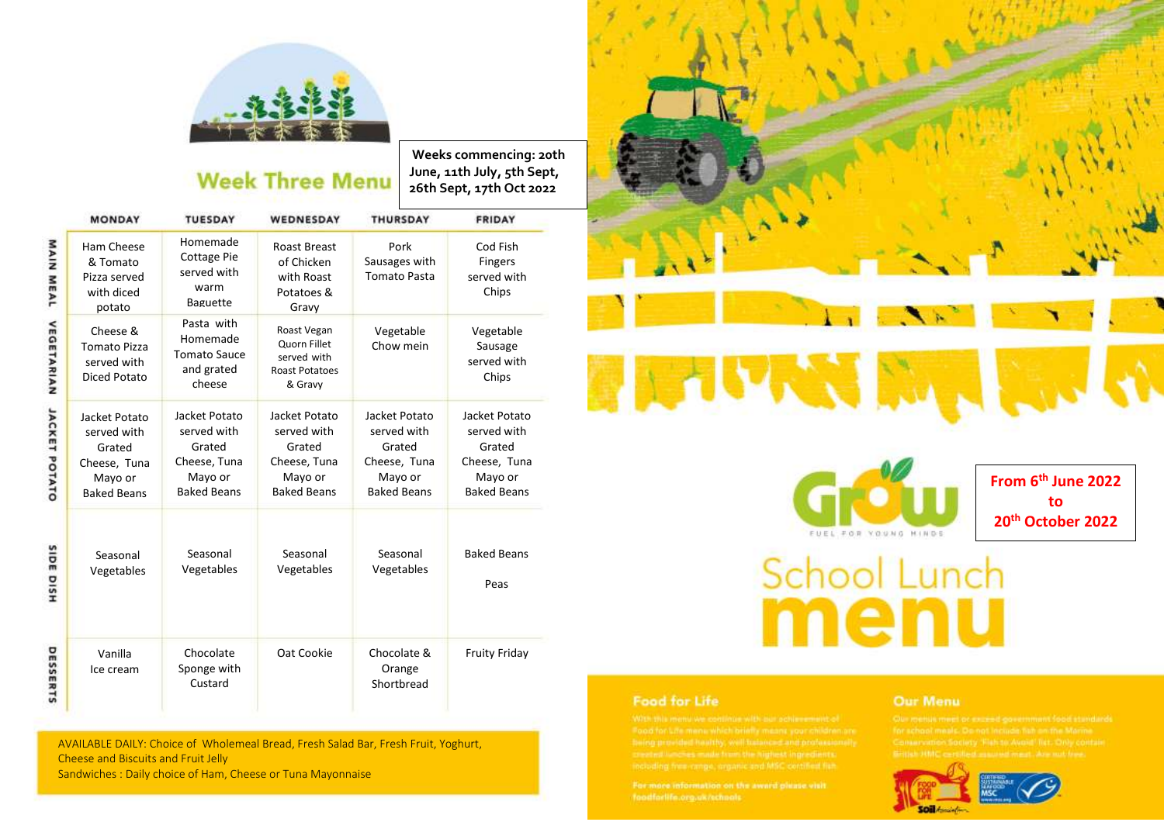

## **Week Three Menu**

**Weeks commencing: 20th June, 11th July, 5th Sept, 26th Sept, 17th Oct 2022**

|                      | <b>MONDAY</b>                                                                           | <b>TUESDAY</b>                                                                          | WEDNESDAY                                                                               | <b>THURSDAY</b>                                                                         | FRIDAY                                                                                  |
|----------------------|-----------------------------------------------------------------------------------------|-----------------------------------------------------------------------------------------|-----------------------------------------------------------------------------------------|-----------------------------------------------------------------------------------------|-----------------------------------------------------------------------------------------|
| <b>MAIN MEAL</b>     | Ham Cheese<br>& Tomato<br>Pizza served<br>with diced<br>potato                          | Homemade<br><b>Cottage Pie</b><br>served with<br>warm<br><b>Baguette</b>                | <b>Roast Breast</b><br>of Chicken<br>with Roast<br>Potatoes &<br>Gravy                  | Pork<br>Sausages with<br><b>Tomato Pasta</b>                                            | Cod Fish<br><b>Fingers</b><br>served with<br>Chips                                      |
| <b>VEGETARIAN</b>    | Cheese &<br><b>Tomato Pizza</b><br>served with<br>Diced Potato                          | Pasta with<br>Homemade<br><b>Tomato Sauce</b><br>and grated<br>cheese                   | Roast Vegan<br><b>Quorn Fillet</b><br>served with<br><b>Roast Potatoes</b><br>& Gravy   | Vegetable<br>Chow mein                                                                  | Vegetable<br>Sausage<br>served with<br>Chips                                            |
| <b>JACKET POTATO</b> | Jacket Potato<br>served with<br>Grated<br>Cheese, Tuna<br>Mayo or<br><b>Baked Beans</b> | Jacket Potato<br>served with<br>Grated<br>Cheese, Tuna<br>Mayo or<br><b>Baked Beans</b> | Jacket Potato<br>served with<br>Grated<br>Cheese, Tuna<br>Mayo or<br><b>Baked Beans</b> | Jacket Potato<br>served with<br>Grated<br>Cheese, Tuna<br>Mayo or<br><b>Baked Beans</b> | Jacket Potato<br>served with<br>Grated<br>Cheese, Tuna<br>Mayo or<br><b>Baked Beans</b> |
| SIDE DISH            | Seasonal<br>Vegetables                                                                  | Seasonal<br>Vegetables                                                                  | Seasonal<br>Vegetables                                                                  | Seasonal<br>Vegetables                                                                  | <b>Baked Beans</b><br>Peas                                                              |
| DESSERTS             | Vanilla<br>Ice cream                                                                    | Chocolate<br>Sponge with<br>Custard                                                     | Oat Cookie                                                                              | Chocolate &<br>Orange<br>Shortbread                                                     | <b>Fruity Friday</b>                                                                    |

AVAILABLE DAILY: Choice of Wholemeal Bread, Fresh Salad Bar, Fresh Fruit, Yoghurt, Cheese and Biscuits and Fruit Jelly Sandwiches : Daily choice of Ham, Cheese or Tuna Mayonnaise





**From 6 th June 2022 to 20th October 2022**

# **School Lunch** menu

### **Food for Life**

#### Our Menu